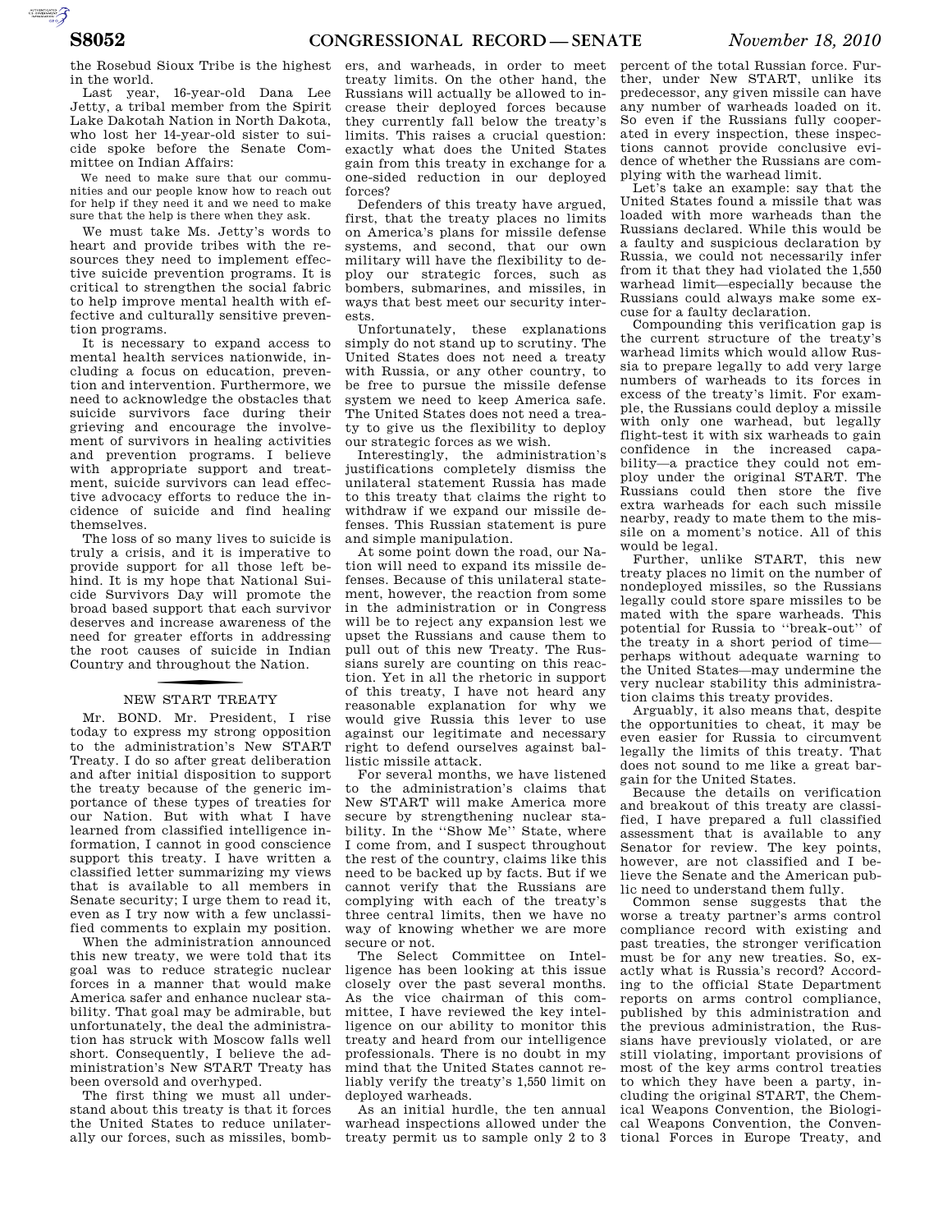the Rosebud Sioux Tribe is the highest in the world.

Last year, 16-year-old Dana Lee Jetty, a tribal member from the Spirit Lake Dakotah Nation in North Dakota, who lost her 14-year-old sister to suicide spoke before the Senate Committee on Indian Affairs:

We need to make sure that our communities and our people know how to reach out for help if they need it and we need to make sure that the help is there when they ask.

We must take Ms. Jetty's words to heart and provide tribes with the resources they need to implement effective suicide prevention programs. It is critical to strengthen the social fabric to help improve mental health with effective and culturally sensitive prevention programs.

It is necessary to expand access to mental health services nationwide, including a focus on education, prevention and intervention. Furthermore, we need to acknowledge the obstacles that suicide survivors face during their grieving and encourage the involvement of survivors in healing activities and prevention programs. I believe with appropriate support and treatment, suicide survivors can lead effective advocacy efforts to reduce the incidence of suicide and find healing themselves.

The loss of so many lives to suicide is truly a crisis, and it is imperative to provide support for all those left behind. It is my hope that National Suicide Survivors Day will promote the broad based support that each survivor deserves and increase awareness of the need for greater efforts in addressing the root causes of suicide in Indian Country and throughout the Nation.

## NEW START TREATY

Mr. BOND. Mr. President, I rise today to express my strong opposition to the administration's New START Treaty. I do so after great deliberation and after initial disposition to support the treaty because of the generic importance of these types of treaties for our Nation. But with what I have learned from classified intelligence information, I cannot in good conscience support this treaty. I have written a classified letter summarizing my views that is available to all members in Senate security; I urge them to read it, even as I try now with a few unclassified comments to explain my position.

When the administration announced this new treaty, we were told that its goal was to reduce strategic nuclear forces in a manner that would make America safer and enhance nuclear stability. That goal may be admirable, but unfortunately, the deal the administration has struck with Moscow falls well short. Consequently, I believe the administration's New START Treaty has been oversold and overhyped.

The first thing we must all understand about this treaty is that it forces the United States to reduce unilaterally our forces, such as missiles, bomb-

ers, and warheads, in order to meet treaty limits. On the other hand, the Russians will actually be allowed to increase their deployed forces because they currently fall below the treaty's limits. This raises a crucial question: exactly what does the United States gain from this treaty in exchange for a one-sided reduction in our deployed forces?

Defenders of this treaty have argued, first, that the treaty places no limits on America's plans for missile defense systems, and second, that our own military will have the flexibility to deploy our strategic forces, such as bombers, submarines, and missiles, in ways that best meet our security interests.

Unfortunately, these explanations simply do not stand up to scrutiny. The United States does not need a treaty with Russia, or any other country, to be free to pursue the missile defense system we need to keep America safe. The United States does not need a treaty to give us the flexibility to deploy our strategic forces as we wish.

Interestingly, the administration's justifications completely dismiss the unilateral statement Russia has made to this treaty that claims the right to withdraw if we expand our missile defenses. This Russian statement is pure and simple manipulation.

At some point down the road, our Nation will need to expand its missile defenses. Because of this unilateral statement, however, the reaction from some in the administration or in Congress will be to reject any expansion lest we upset the Russians and cause them to pull out of this new Treaty. The Russians surely are counting on this reaction. Yet in all the rhetoric in support of this treaty, I have not heard any reasonable explanation for why we would give Russia this lever to use against our legitimate and necessary right to defend ourselves against ballistic missile attack.

For several months, we have listened to the administration's claims that New START will make America more secure by strengthening nuclear stability. In the "Show Me" State, where I come from, and I suspect throughout the rest of the country, claims like this need to be backed up by facts. But if we cannot verify that the Russians are complying with each of the treaty's three central limits, then we have no way of knowing whether we are more secure or not.

The Select Committee on Intelligence has been looking at this issue closely over the past several months. As the vice chairman of this committee, I have reviewed the key intelligence on our ability to monitor this treaty and heard from our intelligence professionals. There is no doubt in my mind that the United States cannot reliably verify the treaty's 1,550 limit on deployed warheads.

As an initial hurdle, the ten annual warhead inspections allowed under the treaty permit us to sample only 2 to 3

percent of the total Russian force. Further, under New START, unlike its predecessor, any given missile can have any number of warheads loaded on it. So even if the Russians fully cooperated in every inspection, these inspections cannot provide conclusive evidence of whether the Russians are complying with the warhead limit.

Let's take an example: say that the United States found a missile that was loaded with more warheads than the Russians declared. While this would be a faulty and suspicious declaration by Russia, we could not necessarily infer from it that they had violated the 1,550 warhead limit—especially because the Russians could always make some excuse for a faulty declaration.

Compounding this verification gap is the current structure of the treaty's warhead limits which would allow Russia to prepare legally to add very large numbers of warheads to its forces in excess of the treaty's limit. For example, the Russians could deploy a missile with only one warhead, but legally flight-test it with six warheads to gain confidence in the increased capability—a practice they could not employ under the original START. The Russians could then store the five extra warheads for each such missile nearby, ready to mate them to the missile on a moment's notice. All of this would be legal.

Further, unlike START, this new treaty places no limit on the number of nondeployed missiles, so the Russians legally could store spare missiles to be mated with the spare warheads. This potential for Russia to ''break-out'' of the treaty in a short period of time perhaps without adequate warning to the United States—may undermine the very nuclear stability this administration claims this treaty provides.

Arguably, it also means that, despite the opportunities to cheat, it may be even easier for Russia to circumvent legally the limits of this treaty. That does not sound to me like a great bargain for the United States.

Because the details on verification and breakout of this treaty are classified, I have prepared a full classified assessment that is available to any Senator for review. The key points, however, are not classified and I believe the Senate and the American public need to understand them fully.

Common sense suggests that the worse a treaty partner's arms control compliance record with existing and past treaties, the stronger verification must be for any new treaties. So, exactly what is Russia's record? According to the official State Department reports on arms control compliance, published by this administration and the previous administration, the Russians have previously violated, or are still violating, important provisions of most of the key arms control treaties to which they have been a party, including the original START, the Chemical Weapons Convention, the Biological Weapons Convention, the Conventional Forces in Europe Treaty, and

AUTOROTOMICALE